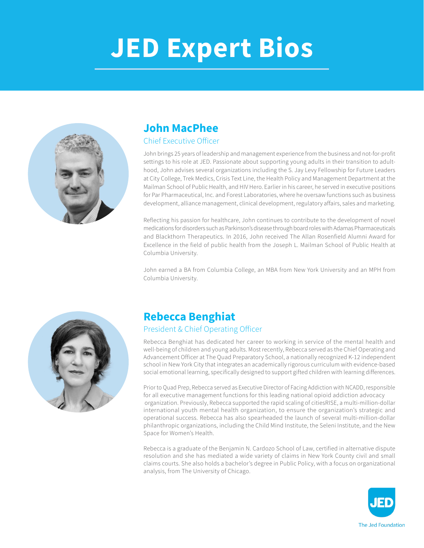# **JED Expert Bios**



# **John MacPhee**

### Chief Executive Officer

John brings 25 years of leadership and management experience from the business and not-for-profit settings to his role at JED. Passionate about supporting young adults in their transition to adulthood, John advises several organizations including the S. Jay Levy Fellowship for Future Leaders at City College, Trek Medics, Crisis Text Line, the Health Policy and Management Department at the Mailman School of Public Health, and HIV Hero. Earlier in his career, he served in executive positions for Par Pharmaceutical, Inc. and Forest Laboratories, where he oversaw functions such as business development, alliance management, clinical development, regulatory affairs, sales and marketing.

Reflecting his passion for healthcare, John continues to contribute to the development of novel medications for disorders such as Parkinson's disease through board roles with Adamas Pharmaceuticals and Blackthorn Therapeutics. In 2016, John received The Allan Rosenfield Alumni Award for Excellence in the field of public health from the Joseph L. Mailman School of Public Health at Columbia University.

John earned a BA from Columbia College, an MBA from New York University and an MPH from Columbia University.



# **Rebecca Benghiat**

### President & Chief Operating Officer

Rebecca Benghiat has dedicated her career to working in service of the mental health and well-being of children and young adults. Most recently, Rebecca served as the Chief Operating and Advancement Officer at The Quad Preparatory School, a nationally recognized K-12 independent school in New York City that integrates an academically rigorous curriculum with evidence-based social emotional learning, specifically designed to support gifted children with learning differences.

Prior to Quad Prep, Rebecca served as Executive Director of Facing Addiction with NCADD, responsible for all executive management functions for this leading national opioid addiction advocacy organization. Previously, Rebecca supported the rapid scaling of citiesRISE, a multi-million-dollar international youth mental health organization, to ensure the organization's strategic and operational success. Rebecca has also spearheaded the launch of several multi-million-dollar philanthropic organizations, including the Child Mind Institute, the Seleni Institute, and the New Space for Women's Health.

Rebecca is a graduate of the Benjamin N. Cardozo School of Law, certified in alternative dispute resolution and she has mediated a wide variety of claims in New York County civil and small claims courts. She also holds a bachelor's degree in Public Policy, with a focus on organizational analysis, from The University of Chicago.

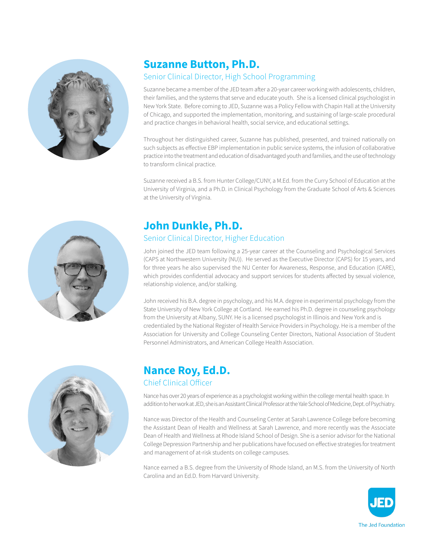

### **Suzanne Button, Ph.D.**

### Senior Clinical Director, High School Programming

Suzanne became a member of the JED team after a 20-year career working with adolescents, children, their families, and the systems that serve and educate youth. She is a licensed clinical psychologist in New York State. Before coming to JED, Suzanne was a Policy Fellow with Chapin Hall at the University of Chicago, and supported the implementation, monitoring, and sustaining of large-scale procedural and practice changes in behavioral health, social service, and educational settings.

Throughout her distinguished career, Suzanne has published, presented, and trained nationally on such subjects as effective EBP implementation in public service systems, the infusion of collaborative practice into the treatment and education of disadvantaged youth and families, and the use of technology to transform clinical practice.

Suzanne received a B.S. from Hunter College/CUNY, a M.Ed. from the Curry School of Education at the University of Virginia, and a Ph.D. in Clinical Psychology from the Graduate School of Arts & Sciences at the University of Virginia.



## **John Dunkle, Ph.D.**

### Senior Clinical Director, Higher Education

John joined the JED team following a 25-year career at the Counseling and Psychological Services (CAPS at Northwestern University (NU)). He served as the Executive Director (CAPS) for 15 years, and for three years he also supervised the NU Center for Awareness, Response, and Education (CARE), which provides confidential advocacy and support services for students affected by sexual violence, relationship violence, and/or stalking.

John received his B.A. degree in psychology, and his M.A. degree in experimental psychology from the State University of New York College at Cortland. He earned his Ph.D. degree in counseling psychology from the University at Albany, SUNY. He is a licensed psychologist in Illinois and New York and is credentialed by the National Register of Health Service Providers in Psychology. He is a member of the Association for University and College Counseling Center Directors, National Association of Student Personnel Administrators, and American College Health Association.



### **Nance Roy, Ed.D.** Chief Clinical Officer

Nance has over 20 years of experience as a psychologist working within the college mental health space. In addition to her work at JED, she is an Assistant Clinical Professor at the Yale School of Medicine, Dept. of Psychiatry.

Nance was Director of the Health and Counseling Center at Sarah Lawrence College before becoming the Assistant Dean of Health and Wellness at Sarah Lawrence, and more recently was the Associate Dean of Health and Wellness at Rhode Island School of Design. She is a senior advisor for the National College Depression Partnership and her publications have focused on effective strategies for treatment and management of at-risk students on college campuses.

Nance earned a B.S. degree from the University of Rhode Island, an M.S. from the University of North Carolina and an Ed.D. from Harvard University.

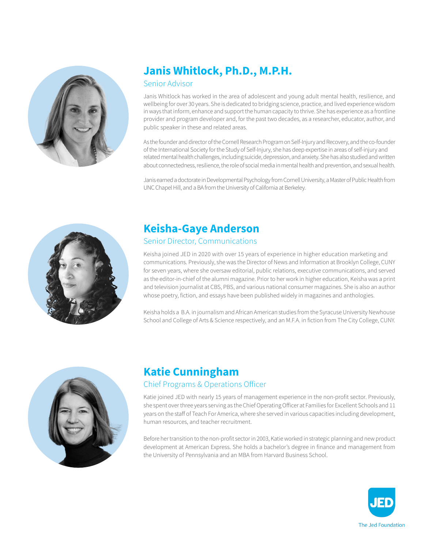

# **Janis Whitlock, Ph.D., M.P.H.**

#### Senior Advisor

Janis Whitlock has worked in the area of adolescent and young adult mental health, resilience, and wellbeing for over 30 years. She is dedicated to bridging science, practice, and lived experience wisdom in ways that inform, enhance and support the human capacity to thrive. She has experience as a frontline provider and program developer and, for the past two decades, as a researcher, educator, author, and public speaker in these and related areas.

As the founder and director of the Cornell Research Program on Self-Injury and Recovery, and the co-founder of the International Society for the Study of Self-Injury, she has deep expertise in areas of self-injury and related mental health challenges, including suicide, depression, and anxiety. She has also studied and written about connectedness, resilience, the role of social media in mental health and prevention, and sexual health.

Janis earned a doctorate in Developmental Psychology from Cornell University, a Master of Public Health from UNC Chapel Hill, and a BA from the University of California at Berkeley.



## **Keisha-Gaye Anderson**

### Senior Director, Communications

Keisha joined JED in 2020 with over 15 years of experience in higher education marketing and communications. Previously, she was the Director of News and Information at Brooklyn College, CUNY for seven years, where she oversaw editorial, public relations, executive communications, and served as the editor-in-chief of the alumni magazine. Prior to her work in higher education, Keisha was a print and television journalist at CBS, PBS, and various national consumer magazines. She is also an author whose poetry, fiction, and essays have been published widely in magazines and anthologies.

Keisha holds a B.A. in journalism and African American studies from the Syracuse University Newhouse School and College of Arts & Science respectively, and an M.F.A. in fiction from The City College, CUNY.



# **Katie Cunningham**

### Chief Programs & Operations Officer

Katie joined JED with nearly 15 years of management experience in the non-profit sector. Previously, she spent over three years serving as the Chief Operating Officer at Families for Excellent Schools and 11 years on the staff of Teach For America, where she served in various capacities including development, human resources, and teacher recruitment.

Before her transition to the non-profit sector in 2003, Katie worked in strategic planning and new product development at American Express. She holds a bachelor's degree in finance and management from the University of Pennsylvania and an MBA from Harvard Business School.